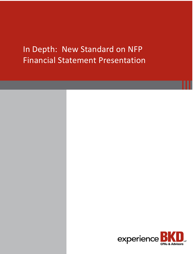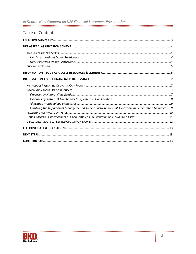| In Depth: New Standard on NFP Financial Statement Presentation                                            |
|-----------------------------------------------------------------------------------------------------------|
|                                                                                                           |
| <b>Table of Contents</b>                                                                                  |
|                                                                                                           |
|                                                                                                           |
|                                                                                                           |
|                                                                                                           |
|                                                                                                           |
|                                                                                                           |
|                                                                                                           |
|                                                                                                           |
|                                                                                                           |
|                                                                                                           |
|                                                                                                           |
|                                                                                                           |
|                                                                                                           |
| Clarifying the Definition of Management & General Activities & Cost Allocation Implementation Guidance  9 |
|                                                                                                           |
|                                                                                                           |
|                                                                                                           |
|                                                                                                           |
|                                                                                                           |
|                                                                                                           |



...........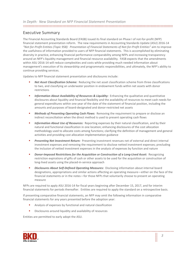# Executive Summary

The Financial Accounting Standards Board (FASB) issued its final standard on Phase I of not-for-profit (NFP) financial statement presentation reform. The new requirements in Accounting Standards Update (ASU) 2016-14 *"Not-for-Profit Entities (Topic 958): Presentation of Financial Statements of Not-for-Profit Entities"* aim to improve the usefulness of information provided to users of NFP financial statements. This is accomplished by eliminating diversity in practice, enhancing financial performance comparability among NFPs and increasing transparency around an NFP's liquidity management and financial resource availability. FASB expects that the amendments within ASU 2016-14 will reduce complexities and costs while providing much needed information about management's execution of its stewardship and programmatic responsibilities, and ultimately, the NFP's ability to continue providing services.

Updates to NFP financial statement presentation and disclosures include:

- *Net Asset Classification Scheme:* Reducing the net asset classification scheme from three classifications to two, and classifying an underwater position in endowment funds within net assets with donor restrictions
- *Information About Availability of Resources & Liquidity:* Enhancing the qualitative and quantitative disclosures about liquidity and financial flexibility and the availability of resources to meet cash needs for general expenditures within one year of the date of the statement of financial position, including the amounts and purposes of board-designated and donor-restricted net assets
- *Methods of Presenting Operating Cash Flows:* Removing the requirement to prepare or disclose an indirect reconciliation when the direct method is used to present operating cash flows
- *Information About Use of Resources:* Reporting expenses by their natural classification, and by their natural and functional classification in one location; enhancing disclosures of the cost allocation methodology used to allocate costs among functions; clarifying the definition of management and general activities and providing cost allocation implementation guidance
- **Presenting Net Investment Return:** Presenting investment revenues net of external and direct internal investment expenses and removing the requirement to disclose netted investment expenses; precluding the inclusion of netted investment expenses in the analysis of expenses by function and nature
- *Donor-Imposed Restrictions for the Acquisition or Construction of a Long-Lived Asset:* Recognizing restriction expirations of gifts of cash or other assets to be used for the acquisition or construction of long-lived assets using the placed-in-service approach
- **Phisps About Self-Defined Operating Measures:** Disclosing information about internal board designations, appropriations and similar actions affecting an operating measure—either on the face of the financial statements or in the notes—for those NFPs that voluntarily choose to present an operating measure

NFPs are required to apply ASU 2016-14 for fiscal years beginning after December 15, 2017, and for interim financial statements for periods thereafter. Entities are required to apply the standard on a retrospective basis.

If presenting comparative financial statements, an NFP may omit the following information in comparative financial statements for any years presented before the adoption year:

- Analysis of expenses by functional and natural classification
- Disclosures around liquidity and availability of resources

Entities are permitted to early adopt the ASU.

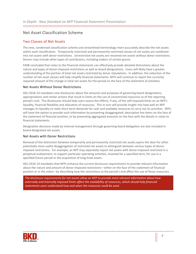# Net Asset Classification Scheme

# Two Classes of Net Assets

The new, condensed classification scheme and streamlined terminology more accurately describe the net assets within each classification. Temporarily restricted and permanently restricted classes of net assets are combined into *net assets with donor restrictions*. Unrestricted net assets are renamed *net assets without donor restrictions.* Donors may include other types of contributors, including makers of certain grants.

FASB concluded that notes to the financial statements can effectively provide detailed distinctions about the nature and types of donor-imposed restrictions as well as board designations. Users will likely have a greater understanding of the portion of total net assets restricted by donor stipulations. In addition, the reduction of the number of net asset classes will help simplify financial statements. NFPs will continue to report the currently required amount of the change in total net assets for the period on the face of the statement of activities.

#### Net Assets Without Donor Restrictions

ASU 2016-14 mandates new disclosures about the amounts and purposes of governing board designations, appropriations and similar actions that result in limits on the use of unrestricted resources as of the reporting period's end. The disclosures should help users assess the effects, if any, of the self-imposed limits on an NFP's liquidity, financial flexibility and allocation of resources. This in turn will provide insight into how well an NFP manages its liquidity to meet short-term demands for cash and available resources to carry out its activities. NFPs will have the option to provide such information by presenting disaggregated, descriptive line items on the face of the statement of financial position, or by presenting aggregated amounts on the face with the details in notes to financial statements.

Designation decisions made by internal management through governing board delegation are also included in board-designated net assets.

#### Net Assets with Donor Restrictions

Removal of the distinction between temporarily and permanently restricted net assets opens the door for other potentially more useful disaggregation of restricted net assets to distinguish between various types of donorimposed restrictions. For example, an NFP may separately report net assets with donor-imposed restricted in a perpetual endowment, to support particular operating activities, invested for a specified term, for use in a specified future period or the acquisition of long-lived assets.

ASU 2016-14 mandates that NFPs enhance the current disclosure requirements to provide relevant information about the nature and amount of donor-imposed restrictions—either on the face of the statement of financial position or in the notes—by describing how the restrictions at the period's end affect the use of those resources.

*The disclosure requirements for net assets allow an NFP to provide more relevant information about how externally and internally imposed limits affect the availability of resources, which should help financial statements users understand how and when the resources could be used.* 

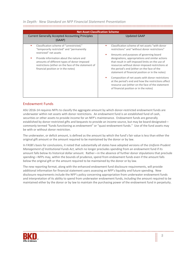| <b>Net Asset Classification Scheme</b>                                                                                                                                                                                                                                                                         |                                                                                                                                                                                                                                                                                                                                                                                                                                                                                                                                                                                                                            |
|----------------------------------------------------------------------------------------------------------------------------------------------------------------------------------------------------------------------------------------------------------------------------------------------------------------|----------------------------------------------------------------------------------------------------------------------------------------------------------------------------------------------------------------------------------------------------------------------------------------------------------------------------------------------------------------------------------------------------------------------------------------------------------------------------------------------------------------------------------------------------------------------------------------------------------------------------|
| <b>Current Generally Accepted Accounting Principles</b><br>(GAAP)                                                                                                                                                                                                                                              | <b>Updated GAAP</b>                                                                                                                                                                                                                                                                                                                                                                                                                                                                                                                                                                                                        |
| Classification scheme of "unrestricted,"<br>п<br>"temporarily restricted" and "permanently<br>restricted" net assets<br>Provide information about the nature and<br>amounts of different types of donor-imposed<br>restrictions (either on the face of the statement of<br>financial position or in the notes) | Classification scheme of net assets "with donor<br>restrictions" and "without donor restrictions"<br>Amounts and purposes of governing board<br>٠<br>designations, appropriations and similar actions<br>that result in self-imposed limits on the use of<br>resources without donor-imposed restrictions at<br>the period's end (either on the face of the<br>statement of financial position or in the notes)<br>Composition of net assets with donor restrictions<br>at the period's end and how the restrictions affect<br>resource use (either on the face of the statement<br>of financial position or in the notes) |

### Endowment Funds

ASU 2016-14 requires NFPs to classify the aggregate amount by which donor-restricted endowment funds are underwater within net assets with donor restrictions. An endowment fund is an established fund of cash, securities or other assets to provide income for an NFP's maintenance. Endowment funds are generally established by donor-restricted gifts and bequests to provide an income source, but may be board-designated commonly termed "funds functioning as endowment" or "quasi-endowment funds." Use of the fund assets may be with or without donor restriction.

The underwater, or deficit amount, is defined as the amount by which the fund's fair value is less than either the original gift amount or the amount required to be maintained by the donor or by law.

In FASB's basis for conclusions, it noted that substantially all states have adopted versions of the *Uniform Prudent Management of Institutional Funds Act*, which no longer precludes spending from an endowment fund if its amount falls below its historical dollar amount. Rather—in the absence of further donor stipulations that preclude spending—NFPs may, within the bounds of prudence, spend from endowment funds even if the amount falls below the original gift or the amount required to be maintained by the donor or by law.

The new reporting format, along with the enhanced endowment fund disclosure requirements, will provide additional information for financial statement users assessing an NFP's liquidity and future spending. New disclosure requirements include the NFP's policy concerning appropriation from underwater endowment funds and interpretation of its ability to spend from underwater endowment funds, including the amount required to be maintained either by the donor or by law to maintain the purchasing power of the endowment fund in perpetuity.

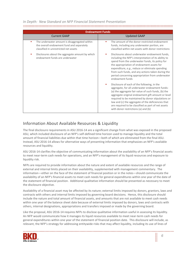| <b>Endowment Funds</b>                                                                                                                   |                                                                                                                                                                                                                                                                                                                                                                                                                          |
|------------------------------------------------------------------------------------------------------------------------------------------|--------------------------------------------------------------------------------------------------------------------------------------------------------------------------------------------------------------------------------------------------------------------------------------------------------------------------------------------------------------------------------------------------------------------------|
| <b>Current GAAP</b>                                                                                                                      | <b>Updated GAAP</b>                                                                                                                                                                                                                                                                                                                                                                                                      |
| The underwater amount is disaggregated within<br>٠<br>the overall endowment fund and separately<br>classified in unrestricted net assets | The amount of the donor-restricted endowment<br>٠<br>funds, including any underwater portion, are<br>classified within net assets with donor restrictions                                                                                                                                                                                                                                                                |
| Disclosures about the aggregate amount by which<br>endowment funds are underwater                                                        | Disclosures about underwater endowment funds,<br>including the NFP's interpretation of its ability to<br>spend from the underwater funds, its policy for<br>the appropriation of endowment assets for<br>expenditure, e.g., reduce or eliminate spending<br>from such funds, and any actions taken during the<br>period concerning appropriation from underwater<br>endowment funds                                      |
|                                                                                                                                          | Disclosure of each of the following, in the<br>٠<br>aggregate, for all underwater endowment funds:<br>(a) the aggregate fair value of such funds, (b) the<br>aggregate original endowment gift amount or level<br>required to be maintained by donor stipulations or<br>law and (c) the aggregate of the deficiencies that<br>are required to be classified as part of net assets<br>with donor restrictions (a) and (b) |

# Information About Available Resources & Liquidity

The final disclosure requirements in ASU 2016-14 are a significant change from what was exposed in the proposed ASU, which included disclosure of an NFP's self-defined time horizon used to manage liquidity and the total amount of financial liabilities due within that time horizon—both of which are eliminated from the final ASU. Instead, ASU 2016-14 allows for alternative ways of presenting information that emphasizes an NFP's available resources and liquidity.

ASU 2016-14 clarifies the objective of communicating information about the availability of an NFP's financial assets to meet near-term cash needs for operations, and an NFP's management of its liquid resources and exposure to liquidity risk.

NFPs are required to provide information about the nature and extent of available resources and the range of external and internal limits placed on their availability, supplemented with management commentary. The information—either on the face of the statement of financial position or in the notes—should communicate the availability of an NFP's financial assets to meet cash needs for general expenditures within one year of the date of the statement of financial position. Additional qualitative information should be presented as necessary to meet the disclosure objective.

Availability of a financial asset may be affected by its nature; external limits imposed by donors, grantors, laws and contracts with others and internal limits imposed by governing board decisions. Hence, this disclosure should include the nature and total amount of financial assets, and amounts that are not available to meet cash needs within one year of the balance sheet date because of external limits imposed by donors, laws and contracts with others, internal designations, appropriations and transfers imposed or made by the governing board.

Like the proposal, ASU 2016-14 requires NFPs to disclose qualitative information useful in assessing its liquidity. An NFP would communicate how it manages its liquid resources available to meet near-term cash needs for general expenditures within one year of the statement of financial position date. This disclosure will include, as relevant, the NFP's strategy for addressing entitywide risks that may affect liquidity, including its use of lines of

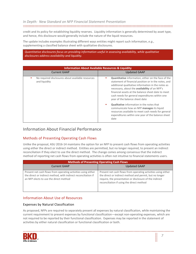#### 

credit and its policy for establishing liquidity reserves. Liquidity information is generally determined by asset type, and hence, this disclosure would generally include the nature of the liquid resources.

The update includes examples illustrating different ways entities might report such information, *e.g.*, supplementing a classified balance sheet with qualitative disclosures.

#### *Quantitative disclosures focus on providing information useful in assessing availability, while qualitative disclosures address availability and liquidity.*

| <b>Information About Available Resources &amp; Liquidity</b>       |                                                                                                                                                                                                                                                                                                                                                                                                                                                                                  |
|--------------------------------------------------------------------|----------------------------------------------------------------------------------------------------------------------------------------------------------------------------------------------------------------------------------------------------------------------------------------------------------------------------------------------------------------------------------------------------------------------------------------------------------------------------------|
| <b>Current GAAP</b>                                                | <b>Updated GAAP</b>                                                                                                                                                                                                                                                                                                                                                                                                                                                              |
| No required disclosures about available resources<br>and liquidity | <b>Quantitative</b> information, either on the face of the<br>statement of financial position or in the notes, and<br>additional qualitative information in the notes as<br>necessary, about the <b>availability</b> of an NFP's<br>financial assets at the balance sheet date to meet<br>cash needs for general expenditures within one<br>year of the balance sheet date<br><b>Qualitative</b> information in the notes that<br>٠<br>communicate how an NFP manages its liquid |
|                                                                    | resources available to meet cash needs for general<br>expenditures within one year of the balance sheet<br>date                                                                                                                                                                                                                                                                                                                                                                  |

# Information About Financial Performance

# Methods of Presenting Operating Cash Flows

Unlike the proposal, ASU 2016-14 maintains the option for an NFP to present cash flows from operating activities using either the direct or indirect method. Entities are permitted, but no longer required, to present an indirect reconciliation if they elect to use the direct method. The change comes among consensus that the indirect method of reporting net cash flows from operating activities is often not intuitive to financial statements users.

| <b>Methods of Presenting Operating Cash Flows</b>                                                                                                                         |                                                                                                                                                                                                                                  |
|---------------------------------------------------------------------------------------------------------------------------------------------------------------------------|----------------------------------------------------------------------------------------------------------------------------------------------------------------------------------------------------------------------------------|
| <b>Current GAAP</b>                                                                                                                                                       | <b>Updated GAAP</b>                                                                                                                                                                                                              |
| Present net cash flows from operating activities using either<br>the direct or indirect method, with indirect reconciliation if<br>an NFP elects to use the direct method | Present net cash flows from operating activities using either<br>the direct or indirect method and permit, but no longer<br>require, the presentation or disclosure of the indirect<br>reconciliation if using the direct method |

# Information About Use of Resources

#### Expenses by Natural Classification

As proposed, NFPs are required to separately present all expenses by natural classification, while maintaining the current requirement to present expenses by functional classification—except non-operating expenses, which are not required to be reported by their functional classification. Expenses may be reported in the statement of activities by either natural classification or functional classification or both.

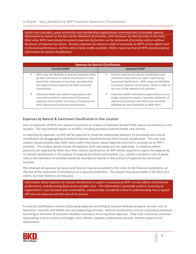*Health care providers, some universities and membership organizations commonly elect to provide expense information by nature on the face of the statement of activities, with disclosure by their function in the notes. Most other NFPs have elected to present expenses by function on the statement of activities with or without disclosure of expenses by nature. Because expenses by nature is useful in assessing an NFP's service efforts and its financial performance, and the data is likely readily available, FASB is requiring that all NFPs provide expense information by natural classification.*

| <b>Expenses by Natural Classification</b>            |                                                        |
|------------------------------------------------------|--------------------------------------------------------|
| <b>Current GAAP</b>                                  | <b>Updated GAAP</b>                                    |
| NFPs have the flexibility to present expenses either | Present expenses by natural classification and         |
| by their functional or natural classification on the | retain the requirement to report expenses by           |
| face of the statement of activities, provided that   | functional classification. NFPs retain the flexibility |
| the entity disclose expenses by their functional     | to present expenses by function, nature or both on     |
| classification                                       | the face of the statement of activities                |
| Voluntary health and welfare organizations are       | Voluntary health and welfare organizations are no      |
| required to present a statement of functional        | longer required to report a separate statement of      |
| expenses that provides an analysis of expenses by    | expenses by function and nature but would be           |
| their natural and functional classifications         | afforded the same flexibility as other NFPs            |

#### Expenses by Natural & Functional Classification in One Location

Also as proposed, all NFPs are required to present an analysis of expenses by both their nature and function in one location. The requirement applies to all NFPs, including business-oriented health care entities.

In reporting its expenses, an NFP will be required to show the relationship between its functional and natural classification by disaggregating functional expense classifications by their natural classification. This one-stop analysis should provide users with more useful information about expenses incurred in carrying out an NFP's activities. The analysis would include all expenses, both operating and non-operating. In instances where expenses are reported by other than their natural classification, an NFP will be required to report the expense by its natural classification in the analysis of expense by nature and function, *e.g.*, salaries included in cost of goods sold on the statement of activities would be recorded as salaries in the analysis of expenses by nature and function.

The schedule of expenses by nature and function may be presented in the notes to the financial statements, on the face of the statement of activities or as a separate statement. The analysis may be provided in the form of a matrix, but that format is not required.

*Information about expenses by natural classification is useful in assessing an NFP's service efforts and financial performance, and discerning fixed versus variable costs. This information is generally useful in assessing an organization's cost structure and sustainability, and generally considered critical in understanding how a typical NFP uses its resources and the cost of its services.* 

Functional classification consists of grouping expenses according to purpose between program services such as education, research, and health care and supporting activities. Natural classification consists of grouping expenses according to the kinds of economic benefits received in incurring those expenses. They have commonly consisted of groupings such as salaries and wages, rent, utilities, supplies, professional services, interest expense and depreciation.

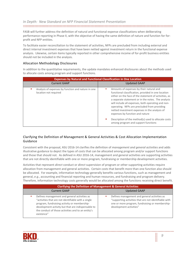FASB will further address the definition of natural and functional expense classifications when deliberating performance reporting in Phase II, with the objective of having the same definition of nature and function for forprofit and NFP entities.

To facilitate easier reconciliation to the statement of activities, NFPs are precluded from including external and direct internal investment expenses that have been netted against investment return in the functional expense analysis. Likewise, certain items typically reported in other comprehensive income of for-profit business entities should not be included in the analysis.

#### Allocation Methodology Disclosures

In addition to the quantitative requirements, the update mandates enhanced disclosures about the methods used to allocate costs among program and support functions.

| <b>Expenses by Natural and Functional Classification in One Location</b>    |                                                                                                                                                                                                                                                                                                                                                                                                                                                                                                        |
|-----------------------------------------------------------------------------|--------------------------------------------------------------------------------------------------------------------------------------------------------------------------------------------------------------------------------------------------------------------------------------------------------------------------------------------------------------------------------------------------------------------------------------------------------------------------------------------------------|
| <b>Current GAAP</b>                                                         | <b>Updated GAAP</b>                                                                                                                                                                                                                                                                                                                                                                                                                                                                                    |
| Analysis of expenses by function and nature in one<br>location not required | Amounts of expenses by their natural and<br>functional classification, provided in one location<br>either on the face of the statement of activities, as<br>a separate statement or in the notes. The analysis<br>will include all expenses, both operating and non-<br>operating. NFPs are precluded from providing<br>netted investment expenses in the analysis of<br>expenses by function and nature<br>Description of the method(s) used to allocate costs<br>among program and support functions |

#### Clarifying the Definition of Management & General Activities & Cost Allocation Implementation Guidance

Consistent with the proposal, ASU 2016-14 clarifies the definition of *management and general activities* and adds illustrative guidance to depict the types of costs that can be allocated among program and/or support functions and those that should not. As defined in ASU 2016-14, management and general activities are supporting activities that are not directly identifiable with one or more program, fundraising or membership development activities.

Activities that represent *direct* conduct or *direct* supervision of program or other supporting activities require allocation from management and general activities. Certain costs that benefit more than one function also should be allocated. For example, information technology generally benefits various functions, such as management and general, *e.g.*, accounting and financial reporting and human resources, and fundraising and program delivery. Therefore, information technology costs generally would be allocated among the functions receiving direct benefit.

| <b>Clarifying the Definition of Management &amp; General Activities</b>                                                                                                                                                                                                       |                                                                                                                                                                                     |
|-------------------------------------------------------------------------------------------------------------------------------------------------------------------------------------------------------------------------------------------------------------------------------|-------------------------------------------------------------------------------------------------------------------------------------------------------------------------------------|
| <b>Current GAAP</b>                                                                                                                                                                                                                                                           | <b>Updated GAAP</b>                                                                                                                                                                 |
| Defines management and general activities as<br>"activities that are not identifiable with a single<br>program, fundraising activity or membership-<br>development activity but that are indispensable to<br>the conduct of those activities and to an entity's<br>existence" | Defines management and general activities as<br>"supporting activities that are not identifiable with<br>one or more program, fundraising or membership-<br>development activities" |

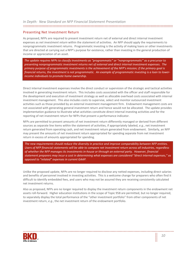#### Presenting Net Investment Return

As proposed, NFPs are required to present investment return net of external and direct internal investment expenses as *net investment return* within the statement of activities. An NFP should apply the requirements to nonprogrammatic investment returns. Programmatic investing is the activity of making loans or other investments that are directed at carrying out a NFP's purpose for existence, rather than investing in the general production of income or appreciation of an asset.

*The update requires NFPs to classify investments as "programmatic" or "nonprogrammatic" as a precursor to presenting nonprogrammatic investment returns net of external and direct internal investment expenses. The primary purpose of programmatic investments is the achievement of the NFP's mission; if the primary goal is financial returns, the investment is not programmatic. An example of programmatic investing is a loan to lowerincome individuals to promote home ownership.*

Direct internal investment expenses involve the direct conduct or supervision of the strategic and tactical activities involved in generating investment return. This includes costs associated with the officer and staff responsible for the development and execution of investment strategy as well as allocable overhead costs associated with internal investment management. This also includes costs to supervise, select and monitor outsourced investment activities such as those provided by an external investment management firm. Endowment management costs are not associated with generating general investment return and hence would not be allocated. The update provides implementation guidance to illustrate what activities constitute direct internal investing activities and for the reporting of net investment return for NFPs that present a performance indicator.

NFPs are permitted to present amounts of net investment return differently managed or derived from different sources as separate line items within the statement of activities, if appropriately labeled, *e.g.*, net investment return generated from operating cash, and net investment return generated from endowment. Similarly, an NFP may present the amounts of net investment return appropriated for spending separate from net investment return in excess of amounts appropriated for spending.

*The new requirements should reduce the diversity in practice and improve comparability between NFP entities. Users of NFP financial statements will be able to compare net investment return across all industries, regardless of whether the NFP manages its investments in-house or through an external party. However, financial statement preparers may incur a cost in determining what expenses are considered "direct internal expenses," as opposed to "related" expenses in current GAAP.* 

Unlike the proposed update, NFPs are no longer required to disclose any netted expenses, including direct salaries and benefits of personnel involved in investing activities. This is a welcome change for preparers who often find it difficult to identify embedded fees, and users who may not be assured they are receiving consistently calculated net investment returns.

Also as proposed, NFPs are no longer required to display the investment return components in the endowment net assets roll-forward. Higher education institutions in the scope of Topic 958 are permitted, but no longer required, to separately display the total performance of the "other investment portfolio" from other components of net investment return, *e.g.*, the net investment return of the endowment portfolio.

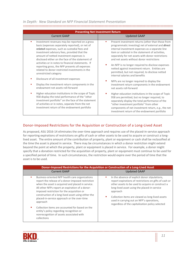| <b>Presenting Net Investment Return</b>                                                                                                                                                                                                                                                                                                                                                                                                                                                 |                                                                                                                                                                                                                                                                                                                                                                                                                                                                                                                               |
|-----------------------------------------------------------------------------------------------------------------------------------------------------------------------------------------------------------------------------------------------------------------------------------------------------------------------------------------------------------------------------------------------------------------------------------------------------------------------------------------|-------------------------------------------------------------------------------------------------------------------------------------------------------------------------------------------------------------------------------------------------------------------------------------------------------------------------------------------------------------------------------------------------------------------------------------------------------------------------------------------------------------------------------|
| <b>Current GAAP</b>                                                                                                                                                                                                                                                                                                                                                                                                                                                                     | <b>Updated GAAP</b>                                                                                                                                                                                                                                                                                                                                                                                                                                                                                                           |
| Investment revenues may be reported on a gross<br>٠<br>basis (expenses separately reported), or net of<br>related expenses, such as custodial fees and<br>investment advisory fees, provided that the<br>amount of netted investment expenses is<br>disclosed either on the face of the statement of<br>activities or in notes to financial statements. If<br>reporting gross, the NFP presents all expenses<br>related to donor-restricted investments in the<br>unrestricted category | Present investment returns (other than those from<br>٠<br>programmatic investing) net of external and <i>direct</i><br>internal investment expenses as a separate line<br>item or subtotal in the statement of activities,<br>separately for net assets with donor restrictions<br>and net assets without donor restrictions<br>An NFP is no longer required to disclose expenses<br>п<br>netted against investment return. Entities are<br>permitted, but not required, to disclose netted<br>internal salaries and benefits |
| Disclosure of all investment expenses<br>Display the investment return components in the<br>endowment net assets roll-forward                                                                                                                                                                                                                                                                                                                                                           | NFPs are no longer required to display the<br>п<br>investment return components in the endowment<br>net assets roll-forward                                                                                                                                                                                                                                                                                                                                                                                                   |
| Higher education institutions in the scope of Topic<br>958 display the total performance of the "other<br>investment portfolio" on the face of the statement<br>of activities or in notes, separate from the net<br>investment return of the endowment portfolio                                                                                                                                                                                                                        | Higher education institutions in the scope of Topic<br>958 are permitted, but no longer required, to<br>separately display the total performance of the<br>"other investment portfolio" from other<br>components of net investment return, e.g., the net<br>investment return of the endowment portfolio                                                                                                                                                                                                                      |

# Donor-Imposed Restrictions for the Acquisition or Construction of a Long-Lived Asset

As proposed, ASU 2016-14 eliminates the over-time approach and requires use of the placed-in-service approach for reporting expirations of restrictions on gifts of cash or other assets to be used to acquire or construct a longlived asset. The entire amount of the contribution of property, plant or equipment or cash shall be reclassified at the time the asset is placed in service. There may be circumstances in which a donor restriction might extend beyond the point at which the property, plant or equipment is placed in service. For example, a donor might specify that a donation restricted for the acquisition of property, plant or equipment must continue to be used for a specified period of time. In such circumstances, the restriction would expire over the period of time that the asset is to be used.

| Donor-Imposed Restrictions for the Acquisition or Construction of a Long-Lived Asset                                                                                                                                                                                                                                                                                                                                                                                                                                                   |                                                                                                                                                                                                                                                                                                                                                                                          |
|----------------------------------------------------------------------------------------------------------------------------------------------------------------------------------------------------------------------------------------------------------------------------------------------------------------------------------------------------------------------------------------------------------------------------------------------------------------------------------------------------------------------------------------|------------------------------------------------------------------------------------------------------------------------------------------------------------------------------------------------------------------------------------------------------------------------------------------------------------------------------------------------------------------------------------------|
| <b>Current GAAP</b>                                                                                                                                                                                                                                                                                                                                                                                                                                                                                                                    | <b>Updated GAAP</b>                                                                                                                                                                                                                                                                                                                                                                      |
| Business-oriented NFP health care organizations<br>report the release of a donor-imposed restriction<br>when the asset is acquired and placed in service.<br>All other NFPs report an expiration of a donor-<br>imposed restriction for the acquisition or<br>construction of a long-lived asset using either the<br>placed-in-service approach or the over-time<br>approach<br>Collection items are accounted for based on the<br>entity's policy regarding recognition or<br>nonrecognition of assets associated with<br>collections | In the absence of explicit donor stipulations,<br>٠<br>report expirations of restrictions on gifts of cash or<br>other assets to be used to acquire or construct a<br>long-lived asset using the placed-in-service<br>approach<br>Collection items are viewed as long-lived assets<br>ш<br>used in carrying out an NFP's operations,<br>regardless of the capitalization policy selected |

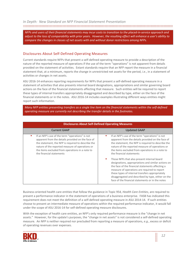*NFPs and users of their financial statements may incur costs to transition to the placed-in-service approach and adjust to the loss of comparability with prior years. However, the resulting effect will enhance a user's ability to compare the changes in classes of net assets with and without donor restrictions among NFPs.*

# Disclosures About Self-Defined Operating Measures

Current standards require NFPs that present a self-defined operating measure to provide a description of the nature of the reported measure of operations if the use of the term "operations" is not apparent from details provided on the statement of activities. Extant standards require that an NFP report the measure in a financial statement that, at a minimum, reports the change in unrestricted net assets for the period, *i.e.*, in a statement of activities or changes in net assets.

ASU 2016-14 enhances reporting requirements for NFPs that present a self-defined operating measure in a statement of activities that also presents internal board designations, appropriations and similar governing board actions on the face of the financial statements affecting that measure. Such entities will be required to report these types of internal transfers appropriately disaggregated and described by type, either on the face of the financial statements or in the notes. ASU 2016-14 includes examples illustrating different ways entities might report such information.

*Many NFP entities presenting transfers as a single line item on the financial statements within the self-defined operating measure are currently not describing the transfer details in the footnotes.*

| <b>Disclosures About Self-Defined Operating Measures</b>                                                                                                                                                                                                                                     |                                                                                                                                                                                                                                                                                                                                                                                                                                                                                                                                                                                                                                                                          |
|----------------------------------------------------------------------------------------------------------------------------------------------------------------------------------------------------------------------------------------------------------------------------------------------|--------------------------------------------------------------------------------------------------------------------------------------------------------------------------------------------------------------------------------------------------------------------------------------------------------------------------------------------------------------------------------------------------------------------------------------------------------------------------------------------------------------------------------------------------------------------------------------------------------------------------------------------------------------------------|
| <b>Current GAAP</b>                                                                                                                                                                                                                                                                          | <b>Updated GAAP</b>                                                                                                                                                                                                                                                                                                                                                                                                                                                                                                                                                                                                                                                      |
| If an NFP's use of the term "operations" is not<br>apparent from the details provided on the face of<br>the statement, the NFP is required to describe the<br>nature of the reported measure of operations or<br>the items excluded from operations in a note to<br>the financial statements | If an NFP's use of the term "operations" is not<br>ш<br>apparent from the details provided on the face of<br>the statement, the NFP is required to describe the<br>nature of the reported measure of operations or<br>the items excluded from operations in a note to<br>the financial statements<br>Those NFPs that also present internal board<br>designations, appropriations and similar actions on<br>the face of the financial statements affecting a<br>measure of operations are required to report<br>these types of internal transfers appropriately<br>disaggregated and described by type, either on the<br>face of the financial statements or in the notes |

Business-oriented health care entities that follow the guidance in Topic 954*, Health Care Entities*, are required to present a performance indicator in the statement of operations of a business enterprise. FASB has indicated this requirement does not meet the definition of a self-defined operating measure in ASU 2014-14. If such entities choose to present an intermediate measure of operations within the required performance indicator, it would fall under the scope of ASU 2016-14 for self-defined operating measure disclosures.

With the exception of health care entities, an NFP's only required performance measure is the "change in net assets." However, for the update's purposes, the "change in net assets" is not considered a self-defined operating measure. An NFP is neither required nor precluded from reporting a measure of operations, *e.g.*, excess or deficit of operating revenues over expenses.